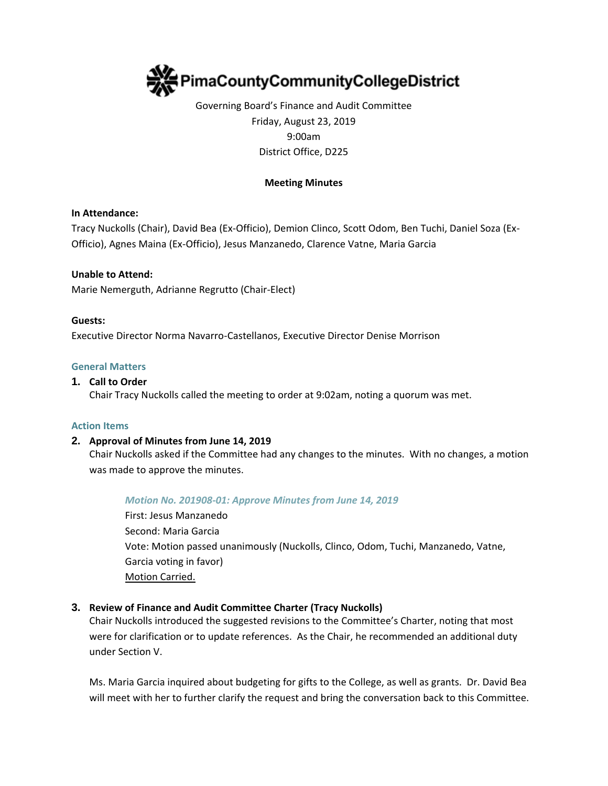

# Governing Board's Finance and Audit Committee Friday, August 23, 2019 9:00am District Office, D225

### **Meeting Minutes**

### **In Attendance:**

Tracy Nuckolls (Chair), David Bea (Ex-Officio), Demion Clinco, Scott Odom, Ben Tuchi, Daniel Soza (Ex-Officio), Agnes Maina (Ex-Officio), Jesus Manzanedo, Clarence Vatne, Maria Garcia

### **Unable to Attend:**

Marie Nemerguth, Adrianne Regrutto (Chair-Elect)

#### **Guests:**

Executive Director Norma Navarro-Castellanos, Executive Director Denise Morrison

#### **General Matters**

#### **1. Call to Order**

Chair Tracy Nuckolls called the meeting to order at 9:02am, noting a quorum was met.

#### **Action Items**

### **2. Approval of Minutes from June 14, 2019**

Chair Nuckolls asked if the Committee had any changes to the minutes. With no changes, a motion was made to approve the minutes.

### *Motion No. 201908-01: Approve Minutes from June 14, 2019*

First: Jesus Manzanedo Second: Maria Garcia Vote: Motion passed unanimously (Nuckolls, Clinco, Odom, Tuchi, Manzanedo, Vatne, Garcia voting in favor) Motion Carried.

### **3. Review of Finance and Audit Committee Charter (Tracy Nuckolls)**

Chair Nuckolls introduced the suggested revisions to the Committee's Charter, noting that most were for clarification or to update references. As the Chair, he recommended an additional duty under Section V.

Ms. Maria Garcia inquired about budgeting for gifts to the College, as well as grants. Dr. David Bea will meet with her to further clarify the request and bring the conversation back to this Committee.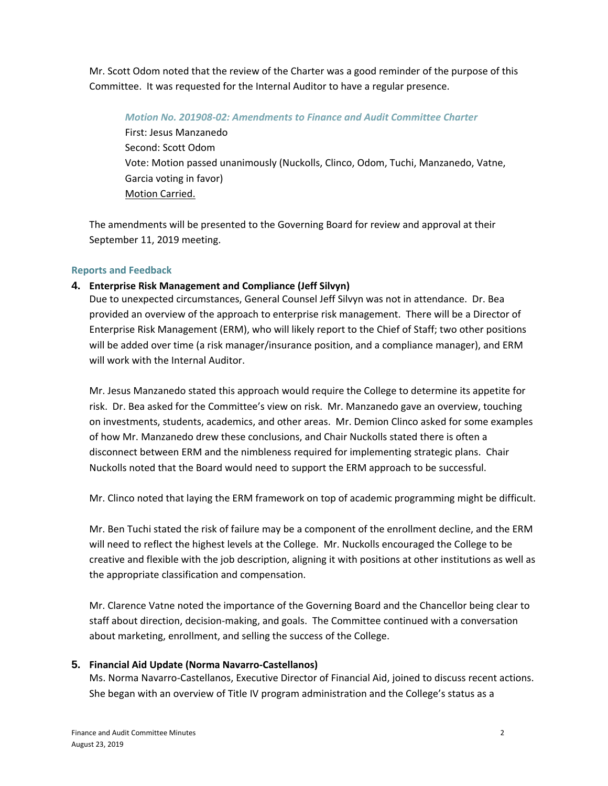Mr. Scott Odom noted that the review of the Charter was a good reminder of the purpose of this Committee. It was requested for the Internal Auditor to have a regular presence.

# *Motion No. 201908-02: Amendments to Finance and Audit Committee Charter* First: Jesus Manzanedo Second: Scott Odom Vote: Motion passed unanimously (Nuckolls, Clinco, Odom, Tuchi, Manzanedo, Vatne, Garcia voting in favor) Motion Carried.

The amendments will be presented to the Governing Board for review and approval at their September 11, 2019 meeting.

# **Reports and Feedback**

# **4. Enterprise Risk Management and Compliance (Jeff Silvyn)**

Due to unexpected circumstances, General Counsel Jeff Silvyn was not in attendance. Dr. Bea provided an overview of the approach to enterprise risk management. There will be a Director of Enterprise Risk Management (ERM), who will likely report to the Chief of Staff; two other positions will be added over time (a risk manager/insurance position, and a compliance manager), and ERM will work with the Internal Auditor.

Mr. Jesus Manzanedo stated this approach would require the College to determine its appetite for risk. Dr. Bea asked for the Committee's view on risk. Mr. Manzanedo gave an overview, touching on investments, students, academics, and other areas. Mr. Demion Clinco asked for some examples of how Mr. Manzanedo drew these conclusions, and Chair Nuckolls stated there is often a disconnect between ERM and the nimbleness required for implementing strategic plans. Chair Nuckolls noted that the Board would need to support the ERM approach to be successful.

Mr. Clinco noted that laying the ERM framework on top of academic programming might be difficult.

Mr. Ben Tuchi stated the risk of failure may be a component of the enrollment decline, and the ERM will need to reflect the highest levels at the College. Mr. Nuckolls encouraged the College to be creative and flexible with the job description, aligning it with positions at other institutions as well as the appropriate classification and compensation.

Mr. Clarence Vatne noted the importance of the Governing Board and the Chancellor being clear to staff about direction, decision-making, and goals. The Committee continued with a conversation about marketing, enrollment, and selling the success of the College.

# **5. Financial Aid Update (Norma Navarro-Castellanos)**

Ms. Norma Navarro-Castellanos, Executive Director of Financial Aid, joined to discuss recent actions. She began with an overview of Title IV program administration and the College's status as a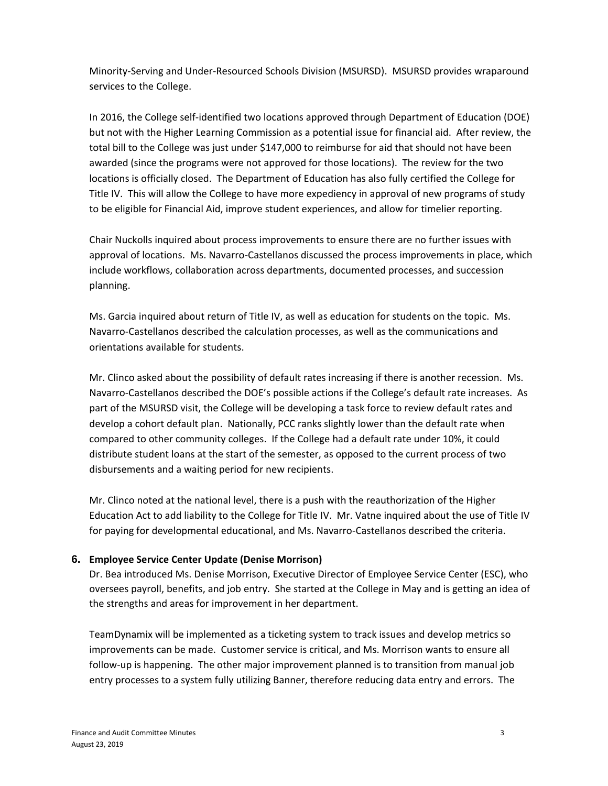Minority-Serving and Under-Resourced Schools Division (MSURSD). MSURSD provides wraparound services to the College.

In 2016, the College self-identified two locations approved through Department of Education (DOE) but not with the Higher Learning Commission as a potential issue for financial aid. After review, the total bill to the College was just under \$147,000 to reimburse for aid that should not have been awarded (since the programs were not approved for those locations). The review for the two locations is officially closed. The Department of Education has also fully certified the College for Title IV. This will allow the College to have more expediency in approval of new programs of study to be eligible for Financial Aid, improve student experiences, and allow for timelier reporting.

Chair Nuckolls inquired about process improvements to ensure there are no further issues with approval of locations. Ms. Navarro-Castellanos discussed the process improvements in place, which include workflows, collaboration across departments, documented processes, and succession planning.

Ms. Garcia inquired about return of Title IV, as well as education for students on the topic. Ms. Navarro-Castellanos described the calculation processes, as well as the communications and orientations available for students.

Mr. Clinco asked about the possibility of default rates increasing if there is another recession. Ms. Navarro-Castellanos described the DOE's possible actions if the College's default rate increases. As part of the MSURSD visit, the College will be developing a task force to review default rates and develop a cohort default plan. Nationally, PCC ranks slightly lower than the default rate when compared to other community colleges. If the College had a default rate under 10%, it could distribute student loans at the start of the semester, as opposed to the current process of two disbursements and a waiting period for new recipients.

Mr. Clinco noted at the national level, there is a push with the reauthorization of the Higher Education Act to add liability to the College for Title IV. Mr. Vatne inquired about the use of Title IV for paying for developmental educational, and Ms. Navarro-Castellanos described the criteria.

## **6. Employee Service Center Update (Denise Morrison)**

Dr. Bea introduced Ms. Denise Morrison, Executive Director of Employee Service Center (ESC), who oversees payroll, benefits, and job entry. She started at the College in May and is getting an idea of the strengths and areas for improvement in her department.

TeamDynamix will be implemented as a ticketing system to track issues and develop metrics so improvements can be made. Customer service is critical, and Ms. Morrison wants to ensure all follow-up is happening. The other major improvement planned is to transition from manual job entry processes to a system fully utilizing Banner, therefore reducing data entry and errors. The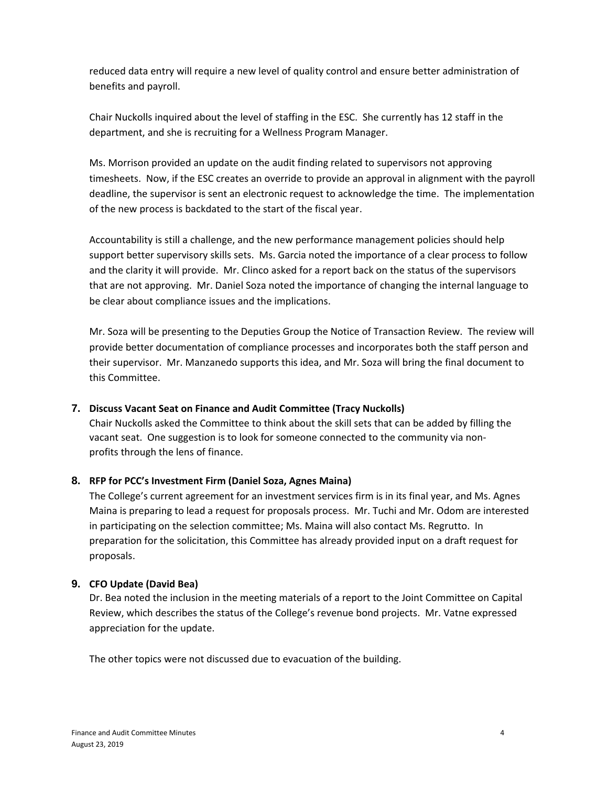reduced data entry will require a new level of quality control and ensure better administration of benefits and payroll.

Chair Nuckolls inquired about the level of staffing in the ESC. She currently has 12 staff in the department, and she is recruiting for a Wellness Program Manager.

Ms. Morrison provided an update on the audit finding related to supervisors not approving timesheets. Now, if the ESC creates an override to provide an approval in alignment with the payroll deadline, the supervisor is sent an electronic request to acknowledge the time. The implementation of the new process is backdated to the start of the fiscal year.

Accountability is still a challenge, and the new performance management policies should help support better supervisory skills sets. Ms. Garcia noted the importance of a clear process to follow and the clarity it will provide. Mr. Clinco asked for a report back on the status of the supervisors that are not approving. Mr. Daniel Soza noted the importance of changing the internal language to be clear about compliance issues and the implications.

Mr. Soza will be presenting to the Deputies Group the Notice of Transaction Review. The review will provide better documentation of compliance processes and incorporates both the staff person and their supervisor. Mr. Manzanedo supports this idea, and Mr. Soza will bring the final document to this Committee.

## **7. Discuss Vacant Seat on Finance and Audit Committee (Tracy Nuckolls)**

Chair Nuckolls asked the Committee to think about the skill sets that can be added by filling the vacant seat. One suggestion is to look for someone connected to the community via nonprofits through the lens of finance.

## **8. RFP for PCC's Investment Firm (Daniel Soza, Agnes Maina)**

The College's current agreement for an investment services firm is in its final year, and Ms. Agnes Maina is preparing to lead a request for proposals process. Mr. Tuchi and Mr. Odom are interested in participating on the selection committee; Ms. Maina will also contact Ms. Regrutto. In preparation for the solicitation, this Committee has already provided input on a draft request for proposals.

## **9. CFO Update (David Bea)**

Dr. Bea noted the inclusion in the meeting materials of a report to the Joint Committee on Capital Review, which describes the status of the College's revenue bond projects. Mr. Vatne expressed appreciation for the update.

The other topics were not discussed due to evacuation of the building.